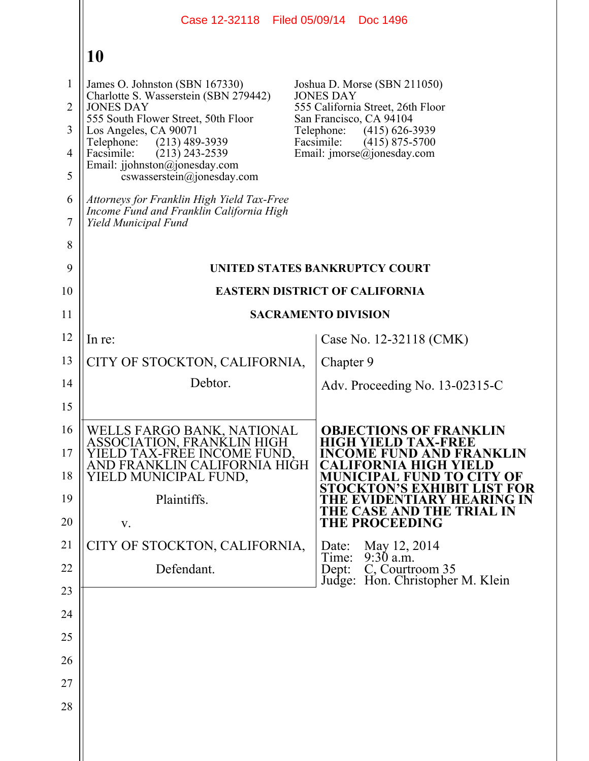|                     |                                                                                                                | Case 12-32118 Filed 05/09/14 Doc 1496                        |
|---------------------|----------------------------------------------------------------------------------------------------------------|--------------------------------------------------------------|
|                     | 10                                                                                                             |                                                              |
| $\mathbf{1}$        | James O. Johnston (SBN 167330)                                                                                 | Joshua D. Morse (SBN 211050)                                 |
| $\overline{2}$      | Charlotte S. Wasserstein (SBN 279442)<br><b>JONES DAY</b>                                                      | <b>JONES DAY</b><br>555 California Street, 26th Floor        |
| 3                   | 555 South Flower Street, 50th Floor<br>Los Angeles, CA 90071                                                   | San Francisco, CA 94104<br>Telephone:<br>$(415)$ 626-3939    |
| $\overline{4}$      | Telephone:<br>$(213)$ 489-3939<br>Facsimile:<br>$(213)$ 243-2539                                               | Facsimile:<br>$(415)$ 875-5700<br>Email: imorse@jonesday.com |
| 5                   | Email: jjohnston@jonesday.com<br>cswasserstein@jonesday.com                                                    |                                                              |
| 6<br>$\overline{7}$ | Attorneys for Franklin High Yield Tax-Free<br>Income Fund and Franklin California High<br>Yield Municipal Fund |                                                              |
| 8                   |                                                                                                                |                                                              |
| 9                   |                                                                                                                | UNITED STATES BANKRUPTCY COURT                               |
| 10                  |                                                                                                                | <b>EASTERN DISTRICT OF CALIFORNIA</b>                        |
| 11                  |                                                                                                                | <b>SACRAMENTO DIVISION</b>                                   |
| 12                  | In re:                                                                                                         | Case No. 12-32118 (CMK)                                      |
| 13                  | CITY OF STOCKTON, CALIFORNIA,                                                                                  | Chapter 9                                                    |
| 14                  | Debtor.                                                                                                        | Adv. Proceeding No. 13-02315-C                               |
| 15                  |                                                                                                                |                                                              |
| 16                  | WELLS FARGO BANK, NATIONAL                                                                                     | <b>OBJECTIONS OF FRANKLIN</b><br><b>HIGH YIELD TAX-FREE</b>  |
| 17                  | ASSOCIATION, FRANKLIN HIGH<br>YIELD TAX-FREE INCOME FUND.                                                      | <b>INCOME FUND AND FRANKLIN</b>                              |
| 18                  | AND FRANKLIN CALIFORNIA HIGH<br>YIELD MUNICIPAL FUND,                                                          | CALIFORNIA HIGH YIELD<br>MUNICIPAL FUND TO CITY OF           |
| 19                  | Plaintiffs.                                                                                                    | STOCKTON'S EXHIBIT LIST FOR<br>THE EVIDENTIARY HEARING IN    |
| 20                  | V.                                                                                                             | THE CASE AND THE TRIAL IN<br><b>THE PROCEEDING</b>           |
| 21                  | CITY OF STOCKTON, CALIFORNIA,                                                                                  | May 12, 2014<br>Date:<br>$9:30$ a.m.<br>Time:                |
| 22                  | Defendant.                                                                                                     | C, Courtroom 35<br>Dept:<br>Judge: Hon. Christopher M. Klein |
| 23                  |                                                                                                                |                                                              |
| 24                  |                                                                                                                |                                                              |
| 25                  |                                                                                                                |                                                              |
| 26                  |                                                                                                                |                                                              |
| 27                  |                                                                                                                |                                                              |
| 28                  |                                                                                                                |                                                              |
|                     |                                                                                                                |                                                              |

 $\parallel$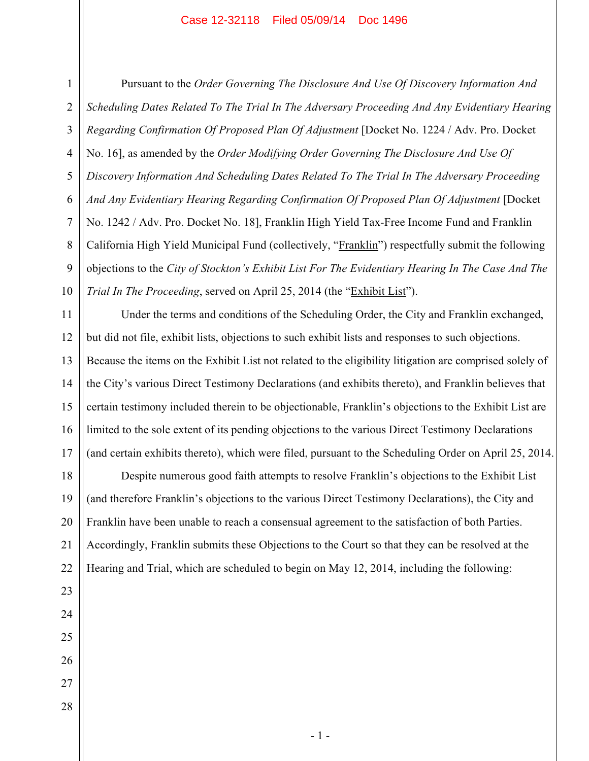1 4 5 6 7 8 9 10 Pursuant to the *Order Governing The Disclosure And Use Of Discovery Information And Scheduling Dates Related To The Trial In The Adversary Proceeding And Any Evidentiary Hearing Regarding Confirmation Of Proposed Plan Of Adjustment* [Docket No. 1224 / Adv. Pro. Docket No. 16], as amended by the *Order Modifying Order Governing The Disclosure And Use Of Discovery Information And Scheduling Dates Related To The Trial In The Adversary Proceeding And Any Evidentiary Hearing Regarding Confirmation Of Proposed Plan Of Adjustment* [Docket No. 1242 / Adv. Pro. Docket No. 18], Franklin High Yield Tax-Free Income Fund and Franklin California High Yield Municipal Fund (collectively, "Franklin") respectfully submit the following objections to the *City of Stockton's Exhibit List For The Evidentiary Hearing In The Case And The Trial In The Proceeding*, served on April 25, 2014 (the "Exhibit List").

11 12 13 14 15 16 17 Under the terms and conditions of the Scheduling Order, the City and Franklin exchanged, but did not file, exhibit lists, objections to such exhibit lists and responses to such objections. Because the items on the Exhibit List not related to the eligibility litigation are comprised solely of the City's various Direct Testimony Declarations (and exhibits thereto), and Franklin believes that certain testimony included therein to be objectionable, Franklin's objections to the Exhibit List are limited to the sole extent of its pending objections to the various Direct Testimony Declarations (and certain exhibits thereto), which were filed, pursuant to the Scheduling Order on April 25, 2014.

18 19 20 21 22 Despite numerous good faith attempts to resolve Franklin's objections to the Exhibit List (and therefore Franklin's objections to the various Direct Testimony Declarations), the City and Franklin have been unable to reach a consensual agreement to the satisfaction of both Parties. Accordingly, Franklin submits these Objections to the Court so that they can be resolved at the Hearing and Trial, which are scheduled to begin on May 12, 2014, including the following:

27 28

23

24

25

26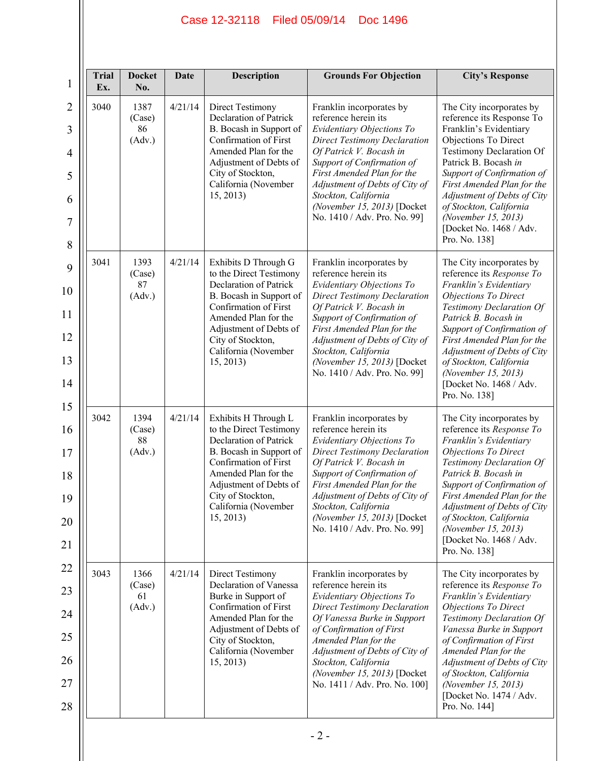| <b>Trial</b><br>Ex. | <b>Docket</b><br>No.           | Date    | <b>Description</b>                                                                                                                                                                                                                        | <b>Grounds For Objection</b>                                                                                                                                                                                                                                                                                                         | <b>City's Response</b>                                                                                                                                                                                                                                                                                                                                      |
|---------------------|--------------------------------|---------|-------------------------------------------------------------------------------------------------------------------------------------------------------------------------------------------------------------------------------------------|--------------------------------------------------------------------------------------------------------------------------------------------------------------------------------------------------------------------------------------------------------------------------------------------------------------------------------------|-------------------------------------------------------------------------------------------------------------------------------------------------------------------------------------------------------------------------------------------------------------------------------------------------------------------------------------------------------------|
| 3040                | 1387<br>(Case)<br>86<br>(Adv.) | 4/21/14 | <b>Direct Testimony</b><br><b>Declaration of Patrick</b><br>B. Bocash in Support of<br>Confirmation of First<br>Amended Plan for the<br>Adjustment of Debts of<br>City of Stockton,<br>California (November<br>15, 2013)                  | Franklin incorporates by<br>reference herein its<br>Evidentiary Objections To<br><b>Direct Testimony Declaration</b><br>Of Patrick V. Bocash in<br>Support of Confirmation of<br>First Amended Plan for the<br>Adjustment of Debts of City of<br>Stockton, California<br>(November 15, 2013) [Docket<br>No. 1410 / Adv. Pro. No. 99] | The City incorporates by<br>reference its Response To<br>Franklin's Evidentiary<br>Objections To Direct<br><b>Testimony Declaration Of</b><br>Patrick B. Bocash in<br>Support of Confirmation of<br>First Amended Plan for the<br>Adjustment of Debts of City<br>of Stockton, California<br>(November 15, 2013)<br>[Docket No. 1468 / Adv.<br>Pro. No. 138] |
| 3041                | 1393<br>(Case)<br>87<br>(Adv.) | 4/21/14 | Exhibits D Through G<br>to the Direct Testimony<br>Declaration of Patrick<br>B. Bocash in Support of<br>Confirmation of First<br>Amended Plan for the<br>Adjustment of Debts of<br>City of Stockton,<br>California (November<br>15, 2013) | Franklin incorporates by<br>reference herein its<br>Evidentiary Objections To<br><b>Direct Testimony Declaration</b><br>Of Patrick V. Bocash in<br>Support of Confirmation of<br>First Amended Plan for the<br>Adjustment of Debts of City of<br>Stockton, California<br>(November 15, 2013) [Docket<br>No. 1410 / Adv. Pro. No. 99] | The City incorporates by<br>reference its Response To<br>Franklin's Evidentiary<br><b>Objections To Direct</b><br>Testimony Declaration Of<br>Patrick B. Bocash in<br>Support of Confirmation of<br>First Amended Plan for the<br>Adjustment of Debts of City<br>of Stockton, California<br>(November 15, 2013)<br>[Docket No. 1468 / Adv.<br>Pro. No. 138] |
| 3042                | 1394<br>(Case)<br>88<br>(Adv.) | 4/21/14 | Exhibits H Through L<br>to the Direct Testimony<br>Declaration of Patrick<br>B. Bocash in Support of<br>Confirmation of First<br>Amended Plan for the<br>Adjustment of Debts of<br>City of Stockton,<br>California (November<br>15, 2013) | Franklin incorporates by<br>reference herein its<br>Evidentiary Objections To<br><b>Direct Testimony Declaration</b><br>Of Patrick V. Bocash in<br>Support of Confirmation of<br>First Amended Plan for the<br>Adjustment of Debts of City of<br>Stockton, California<br>(November 15, 2013) [Docket<br>No. 1410 / Adv. Pro. No. 99] | The City incorporates by<br>reference its Response To<br>Franklin's Evidentiary<br><b>Objections To Direct</b><br>Testimony Declaration Of<br>Patrick B. Bocash in<br>Support of Confirmation of<br>First Amended Plan for the<br>Adjustment of Debts of City<br>of Stockton, California<br>(November 15, 2013)<br>[Docket No. 1468 / Adv.<br>Pro. No. 138] |
| 3043                | 1366<br>(Case)<br>61<br>(Adv.) | 4/21/14 | Direct Testimony<br>Declaration of Vanessa<br>Burke in Support of<br>Confirmation of First<br>Amended Plan for the<br>Adjustment of Debts of<br>City of Stockton,<br>California (November<br>15, 2013)                                    | Franklin incorporates by<br>reference herein its<br>Evidentiary Objections To<br><b>Direct Testimony Declaration</b><br>Of Vanessa Burke in Support<br>of Confirmation of First<br>Amended Plan for the<br>Adjustment of Debts of City of<br>Stockton, California<br>(November 15, 2013) [Docket<br>No. 1411 / Adv. Pro. No. 100]    | The City incorporates by<br>reference its Response To<br>Franklin's Evidentiary<br><b>Objections To Direct</b><br>Testimony Declaration Of<br>Vanessa Burke in Support<br>of Confirmation of First<br>Amended Plan for the<br>Adjustment of Debts of City<br>of Stockton, California<br>(November 15, 2013)<br>[Docket No. 1474 / Adv.<br>Pro. No. 144]     |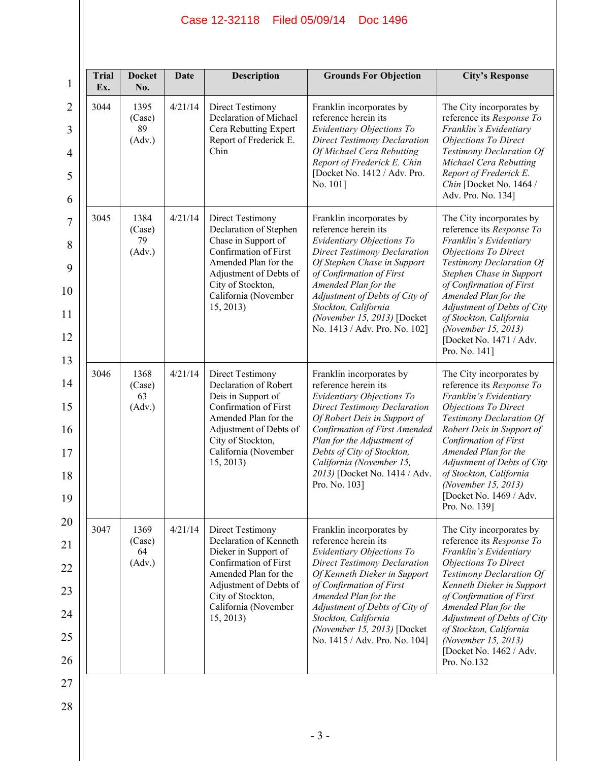| <b>Trial</b><br>Ex. | <b>Docket</b><br>No.           | Date    | <b>Description</b>                                                                                                                                                                                            | <b>Grounds For Objection</b>                                                                                                                                                                                                                                                                                                       | <b>City's Response</b>                                                                                                                                                                                                                                                                                                                                       |
|---------------------|--------------------------------|---------|---------------------------------------------------------------------------------------------------------------------------------------------------------------------------------------------------------------|------------------------------------------------------------------------------------------------------------------------------------------------------------------------------------------------------------------------------------------------------------------------------------------------------------------------------------|--------------------------------------------------------------------------------------------------------------------------------------------------------------------------------------------------------------------------------------------------------------------------------------------------------------------------------------------------------------|
| 3044                | 1395<br>(Case)<br>89<br>(Adv.) | 4/21/14 | <b>Direct Testimony</b><br>Declaration of Michael<br>Cera Rebutting Expert<br>Report of Frederick E.<br>Chin                                                                                                  | Franklin incorporates by<br>reference herein its<br>Evidentiary Objections To<br><b>Direct Testimony Declaration</b><br>Of Michael Cera Rebutting<br>Report of Frederick E. Chin<br>[Docket No. 1412 / Adv. Pro.<br>No. 101]                                                                                                       | The City incorporates by<br>reference its Response To<br>Franklin's Evidentiary<br>Objections To Direct<br>Testimony Declaration Of<br>Michael Cera Rebutting<br>Report of Frederick E.<br>Chin [Docket No. 1464 /<br>Adv. Pro. No. 134]                                                                                                                     |
| 3045                | 1384<br>(Case)<br>79<br>(Adv.) | 4/21/14 | <b>Direct Testimony</b><br>Declaration of Stephen<br>Chase in Support of<br>Confirmation of First<br>Amended Plan for the<br>Adjustment of Debts of<br>City of Stockton,<br>California (November<br>15, 2013) | Franklin incorporates by<br>reference herein its<br>Evidentiary Objections To<br><b>Direct Testimony Declaration</b><br>Of Stephen Chase in Support<br>of Confirmation of First<br>Amended Plan for the<br>Adjustment of Debts of City of<br>Stockton, California<br>(November 15, 2013) [Docket<br>No. 1413 / Adv. Pro. No. 102]  | The City incorporates by<br>reference its Response To<br>Franklin's Evidentiary<br>Objections To Direct<br>Testimony Declaration Of<br>Stephen Chase in Support<br>of Confirmation of First<br>Amended Plan for the<br>Adjustment of Debts of City<br>of Stockton, California<br>(November 15, 2013)<br>[Docket No. 1471 / Adv.<br>Pro. No. 141]             |
| 3046                | 1368<br>(Case)<br>63<br>(Adv.) | 4/21/14 | <b>Direct Testimony</b><br>Declaration of Robert<br>Deis in Support of<br>Confirmation of First<br>Amended Plan for the<br>Adjustment of Debts of<br>City of Stockton,<br>California (November<br>15, 2013    | Franklin incorporates by<br>reference herein its<br>Evidentiary Objections To<br><b>Direct Testimony Declaration</b><br>Of Robert Deis in Support of<br>Confirmation of First Amended<br>Plan for the Adjustment of<br>Debts of City of Stockton,<br>California (November 15,<br>2013) [Docket No. 1414 / Adv.<br>Pro. No. 103]    | The City incorporates by<br>reference its Response To<br>Franklin's Evidentiary<br><b>Objections To Direct</b><br>Testimony Declaration Of<br>Robert Deis in Support of<br><b>Confirmation of First</b><br>Amended Plan for the<br>Adjustment of Debts of City<br>of Stockton, California<br>(November 15, 2013)<br>[Docket No. 1469 / Adv.<br>Pro. No. 139] |
| 3047                | 1369<br>(Case)<br>64<br>(Adv.) | 4/21/14 | Direct Testimony<br>Declaration of Kenneth<br>Dieker in Support of<br>Confirmation of First<br>Amended Plan for the<br>Adjustment of Debts of<br>City of Stockton,<br>California (November<br>15, 2013        | Franklin incorporates by<br>reference herein its<br>Evidentiary Objections To<br><b>Direct Testimony Declaration</b><br>Of Kenneth Dieker in Support<br>of Confirmation of First<br>Amended Plan for the<br>Adjustment of Debts of City of<br>Stockton, California<br>(November 15, 2013) [Docket<br>No. 1415 / Adv. Pro. No. 104] | The City incorporates by<br>reference its Response To<br>Franklin's Evidentiary<br><b>Objections To Direct</b><br>Testimony Declaration Of<br>Kenneth Dieker in Support<br>of Confirmation of First<br>Amended Plan for the<br>Adjustment of Debts of City<br>of Stockton, California<br>(November 15, 2013)<br>[Docket No. 1462 / Adv.<br>Pro. No.132       |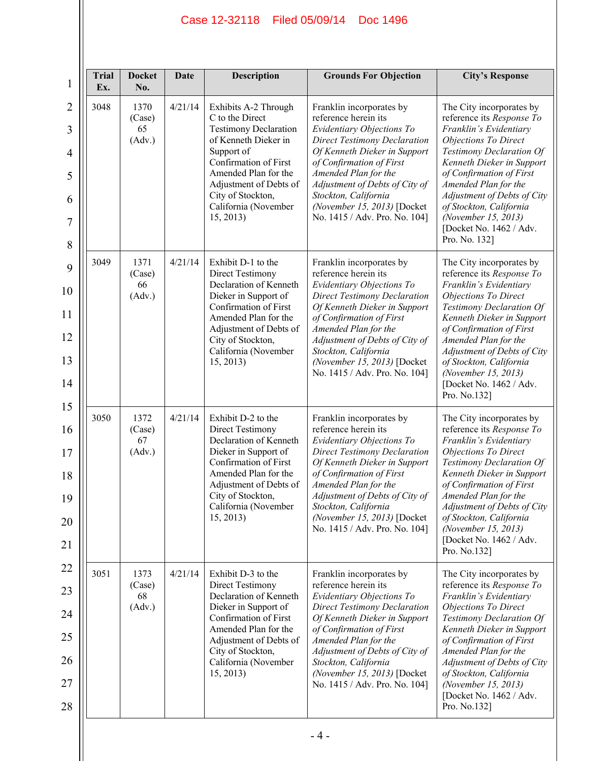| <b>Trial</b><br>1<br>Ex.                                          | <b>Docket</b><br>No.           | Date    | Description                                                                                                                                                                                                                                        | <b>Grounds For Objection</b>                                                                                                                                                                                                                                                                                                       | <b>City's Response</b>                                                                                                                                                                                                                                                                                                                                   |
|-------------------------------------------------------------------|--------------------------------|---------|----------------------------------------------------------------------------------------------------------------------------------------------------------------------------------------------------------------------------------------------------|------------------------------------------------------------------------------------------------------------------------------------------------------------------------------------------------------------------------------------------------------------------------------------------------------------------------------------|----------------------------------------------------------------------------------------------------------------------------------------------------------------------------------------------------------------------------------------------------------------------------------------------------------------------------------------------------------|
| $\overline{2}$<br>3048<br>3<br>4<br>5<br>6<br>$\overline{7}$<br>8 | 1370<br>(Case)<br>65<br>(Adv.) | 4/21/14 | Exhibits A-2 Through<br>C to the Direct<br><b>Testimony Declaration</b><br>of Kenneth Dieker in<br>Support of<br>Confirmation of First<br>Amended Plan for the<br>Adjustment of Debts of<br>City of Stockton,<br>California (November<br>15, 2013) | Franklin incorporates by<br>reference herein its<br>Evidentiary Objections To<br><b>Direct Testimony Declaration</b><br>Of Kenneth Dieker in Support<br>of Confirmation of First<br>Amended Plan for the<br>Adjustment of Debts of City of<br>Stockton, California<br>(November 15, 2013) [Docket<br>No. 1415 / Adv. Pro. No. 104] | The City incorporates by<br>reference its Response To<br>Franklin's Evidentiary<br><b>Objections To Direct</b><br>Testimony Declaration Of<br>Kenneth Dieker in Support<br>of Confirmation of First<br>Amended Plan for the<br>Adjustment of Debts of City<br>of Stockton, California<br>(November 15, 2013)<br>[Docket No. 1462 / Adv.<br>Pro. No. 132] |
| 3049<br>9<br>10<br>11<br>12<br>13<br>14<br>15                     | 1371<br>(Case)<br>66<br>(Adv.) | 4/21/14 | Exhibit D-1 to the<br><b>Direct Testimony</b><br>Declaration of Kenneth<br>Dieker in Support of<br>Confirmation of First<br>Amended Plan for the<br>Adjustment of Debts of<br>City of Stockton,<br>California (November<br>15, 2013)               | Franklin incorporates by<br>reference herein its<br>Evidentiary Objections To<br><b>Direct Testimony Declaration</b><br>Of Kenneth Dieker in Support<br>of Confirmation of First<br>Amended Plan for the<br>Adjustment of Debts of City of<br>Stockton, California<br>(November 15, 2013) [Docket<br>No. 1415 / Adv. Pro. No. 104] | The City incorporates by<br>reference its Response To<br>Franklin's Evidentiary<br>Objections To Direct<br>Testimony Declaration Of<br>Kenneth Dieker in Support<br>of Confirmation of First<br>Amended Plan for the<br>Adjustment of Debts of City<br>of Stockton, California<br>(November 15, 2013)<br>[Docket No. 1462 / Adv.<br>Pro. No.132]         |
| 3050<br>16<br>17<br>18<br>19<br>20<br>21                          | 1372<br>(Case)<br>67<br>(Adv.) | 4/21/14 | Exhibit D-2 to the<br><b>Direct Testimony</b><br>Declaration of Kenneth<br>Dieker in Support of<br>Confirmation of First<br>Amended Plan for the<br>Adjustment of Debts of<br>City of Stockton,<br>California (November<br>15, 2013)               | Franklin incorporates by<br>reference herein its<br>Evidentiary Objections To<br><b>Direct Testimony Declaration</b><br>Of Kenneth Dieker in Support<br>of Confirmation of First<br>Amended Plan for the<br>Adjustment of Debts of City of<br>Stockton, California<br>(November 15, 2013) [Docket<br>No. 1415 / Adv. Pro. No. 104] | The City incorporates by<br>reference its Response To<br>Franklin's Evidentiary<br><b>Objections To Direct</b><br>Testimony Declaration Of<br>Kenneth Dieker in Support<br>of Confirmation of First<br>Amended Plan for the<br>Adjustment of Debts of City<br>of Stockton, California<br>(November 15, 2013)<br>[Docket No. 1462 / Adv.<br>Pro. No.132]  |
| 22<br>3051<br>24<br>25<br>26<br>28                                | 1373<br>(Case)<br>68<br>(Adv.) | 4/21/14 | Exhibit D-3 to the<br><b>Direct Testimony</b><br>Declaration of Kenneth<br>Dieker in Support of<br>Confirmation of First<br>Amended Plan for the<br>Adjustment of Debts of<br>City of Stockton,<br>California (November<br>15, 2013)               | Franklin incorporates by<br>reference herein its<br>Evidentiary Objections To<br><b>Direct Testimony Declaration</b><br>Of Kenneth Dieker in Support<br>of Confirmation of First<br>Amended Plan for the<br>Adjustment of Debts of City of<br>Stockton, California<br>(November 15, 2013) [Docket<br>No. 1415 / Adv. Pro. No. 104] | The City incorporates by<br>reference its Response To<br>Franklin's Evidentiary<br><b>Objections To Direct</b><br>Testimony Declaration Of<br>Kenneth Dieker in Support<br>of Confirmation of First<br>Amended Plan for the<br>Adjustment of Debts of City<br>of Stockton, California<br>(November 15, 2013)<br>[Docket No. 1462 / Adv.<br>Pro. No.132]  |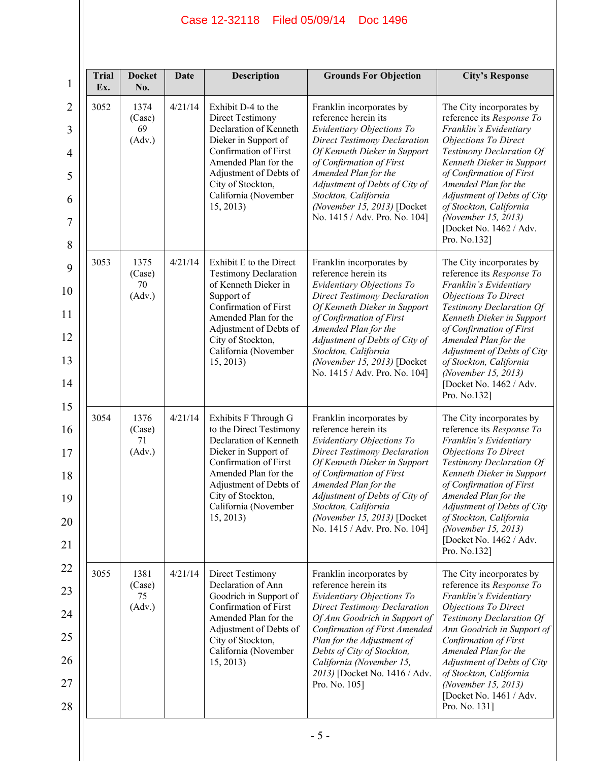| <b>Trial</b><br>Ex. | <b>Docket</b><br>No.           | Date    | <b>Description</b>                                                                                                                                                                                                                     | <b>Grounds For Objection</b>                                                                                                                                                                                                                                                                                                       | <b>City's Response</b>                                                                                                                                                                                                                                                                                                                                        |
|---------------------|--------------------------------|---------|----------------------------------------------------------------------------------------------------------------------------------------------------------------------------------------------------------------------------------------|------------------------------------------------------------------------------------------------------------------------------------------------------------------------------------------------------------------------------------------------------------------------------------------------------------------------------------|---------------------------------------------------------------------------------------------------------------------------------------------------------------------------------------------------------------------------------------------------------------------------------------------------------------------------------------------------------------|
| 3052                | 1374<br>(Case)<br>69<br>(Adv.) | 4/21/14 | Exhibit D-4 to the<br><b>Direct Testimony</b><br>Declaration of Kenneth<br>Dieker in Support of<br>Confirmation of First<br>Amended Plan for the<br>Adjustment of Debts of<br>City of Stockton,<br>California (November<br>15, 2013)   | Franklin incorporates by<br>reference herein its<br>Evidentiary Objections To<br><b>Direct Testimony Declaration</b><br>Of Kenneth Dieker in Support<br>of Confirmation of First<br>Amended Plan for the<br>Adjustment of Debts of City of<br>Stockton, California<br>(November 15, 2013) [Docket<br>No. 1415 / Adv. Pro. No. 104] | The City incorporates by<br>reference its Response To<br>Franklin's Evidentiary<br>Objections To Direct<br>Testimony Declaration Of<br>Kenneth Dieker in Support<br>of Confirmation of First<br>Amended Plan for the<br>Adjustment of Debts of City<br>of Stockton, California<br>(November 15, 2013)<br>[Docket No. 1462 / Adv.<br>Pro. No.132]              |
| 3053                | 1375<br>(Case)<br>70<br>(Adv.) | 4/21/14 | Exhibit E to the Direct<br><b>Testimony Declaration</b><br>of Kenneth Dieker in<br>Support of<br>Confirmation of First<br>Amended Plan for the<br>Adjustment of Debts of<br>City of Stockton,<br>California (November<br>15, 2013)     | Franklin incorporates by<br>reference herein its<br>Evidentiary Objections To<br><b>Direct Testimony Declaration</b><br>Of Kenneth Dieker in Support<br>of Confirmation of First<br>Amended Plan for the<br>Adjustment of Debts of City of<br>Stockton, California<br>(November 15, 2013) [Docket<br>No. 1415 / Adv. Pro. No. 104] | The City incorporates by<br>reference its Response To<br>Franklin's Evidentiary<br><b>Objections To Direct</b><br>Testimony Declaration Of<br>Kenneth Dieker in Support<br>of Confirmation of First<br>Amended Plan for the<br>Adjustment of Debts of City<br>of Stockton, California<br>(November 15, 2013)<br>[Docket No. 1462 / Adv.<br>Pro. No.132]       |
| 3054                | 1376<br>(Case)<br>71<br>(Adv.) | 4/21/14 | Exhibits F Through G<br>to the Direct Testimony<br>Declaration of Kenneth<br>Dieker in Support of<br>Confirmation of First<br>Amended Plan for the<br>Adjustment of Debts of<br>City of Stockton,<br>California (November<br>15, 2013) | Franklin incorporates by<br>reference herein its<br>Evidentiary Objections To<br><b>Direct Testimony Declaration</b><br>Of Kenneth Dieker in Support<br>of Confirmation of First<br>Amended Plan for the<br>Adjustment of Debts of City of<br>Stockton, California<br>(November 15, 2013) [Docket<br>No. 1415 / Adv. Pro. No. 104] | The City incorporates by<br>reference its Response To<br>Franklin's Evidentiary<br>Objections To Direct<br>Testimony Declaration Of<br>Kenneth Dieker in Support<br>of Confirmation of First<br>Amended Plan for the<br>Adjustment of Debts of City<br>of Stockton, California<br>(November 15, 2013)<br>[Docket No. 1462 / Adv.<br>Pro. No.132]              |
| 3055                | 1381<br>(Case)<br>75<br>(Adv.) | 4/21/14 | Direct Testimony<br>Declaration of Ann<br>Goodrich in Support of<br>Confirmation of First<br>Amended Plan for the<br>Adjustment of Debts of<br>City of Stockton,<br>California (November<br>15, 2013)                                  | Franklin incorporates by<br>reference herein its<br>Evidentiary Objections To<br><b>Direct Testimony Declaration</b><br>Of Ann Goodrich in Support of<br>Confirmation of First Amended<br>Plan for the Adjustment of<br>Debts of City of Stockton,<br>California (November 15,<br>2013) [Docket No. 1416 / Adv.<br>Pro. No. 105]   | The City incorporates by<br>reference its Response To<br>Franklin's Evidentiary<br><b>Objections To Direct</b><br>Testimony Declaration Of<br>Ann Goodrich in Support of<br><b>Confirmation of First</b><br>Amended Plan for the<br>Adjustment of Debts of City<br>of Stockton, California<br>(November 15, 2013)<br>[Docket No. 1461 / Adv.<br>Pro. No. 131] |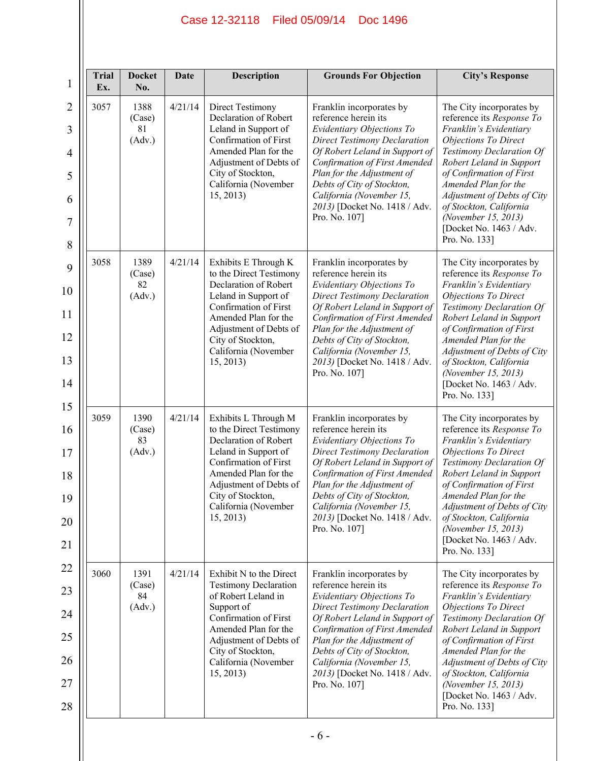| <b>Trial</b><br>Ex. | <b>Docket</b><br>No.           | Date    | <b>Description</b>                                                                                                                                                                                                                    | <b>Grounds For Objection</b>                                                                                                                                                                                                                                                                                                      | <b>City's Response</b>                                                                                                                                                                                                                                                                                                                                  |
|---------------------|--------------------------------|---------|---------------------------------------------------------------------------------------------------------------------------------------------------------------------------------------------------------------------------------------|-----------------------------------------------------------------------------------------------------------------------------------------------------------------------------------------------------------------------------------------------------------------------------------------------------------------------------------|---------------------------------------------------------------------------------------------------------------------------------------------------------------------------------------------------------------------------------------------------------------------------------------------------------------------------------------------------------|
| 3057                | 1388<br>(Case)<br>81<br>(Adv.) | 4/21/14 | Direct Testimony<br>Declaration of Robert<br>Leland in Support of<br>Confirmation of First<br>Amended Plan for the<br>Adjustment of Debts of<br>City of Stockton,<br>California (November<br>15, 2013)                                | Franklin incorporates by<br>reference herein its<br>Evidentiary Objections To<br><b>Direct Testimony Declaration</b><br>Of Robert Leland in Support of<br>Confirmation of First Amended<br>Plan for the Adjustment of<br>Debts of City of Stockton,<br>California (November 15,<br>2013) [Docket No. 1418 / Adv.<br>Pro. No. 107] | The City incorporates by<br>reference its Response To<br>Franklin's Evidentiary<br><b>Objections To Direct</b><br>Testimony Declaration Of<br>Robert Leland in Support<br>of Confirmation of First<br>Amended Plan for the<br>Adjustment of Debts of City<br>of Stockton, California<br>(November 15, 2013)<br>[Docket No. 1463 / Adv.<br>Pro. No. 133] |
| 3058                | 1389<br>(Case)<br>82<br>(Adv.) | 4/21/14 | Exhibits E Through K<br>to the Direct Testimony<br>Declaration of Robert<br>Leland in Support of<br>Confirmation of First<br>Amended Plan for the<br>Adjustment of Debts of<br>City of Stockton,<br>California (November<br>15, 2013) | Franklin incorporates by<br>reference herein its<br>Evidentiary Objections To<br><b>Direct Testimony Declaration</b><br>Of Robert Leland in Support of<br>Confirmation of First Amended<br>Plan for the Adjustment of<br>Debts of City of Stockton,<br>California (November 15,<br>2013) [Docket No. 1418 / Adv.<br>Pro. No. 107] | The City incorporates by<br>reference its Response To<br>Franklin's Evidentiary<br><b>Objections To Direct</b><br>Testimony Declaration Of<br>Robert Leland in Support<br>of Confirmation of First<br>Amended Plan for the<br>Adjustment of Debts of City<br>of Stockton, California<br>(November 15, 2013)<br>[Docket No. 1463 / Adv.<br>Pro. No. 133] |
| 3059                | 1390<br>(Case)<br>83<br>(Adv.) | 4/21/14 | Exhibits L Through M<br>to the Direct Testimony<br>Declaration of Robert<br>Leland in Support of<br>Confirmation of First<br>Amended Plan for the<br>Adjustment of Debts of<br>City of Stockton,<br>California (November<br>15, 2013) | Franklin incorporates by<br>reference herein its<br>Evidentiary Objections To<br><b>Direct Testimony Declaration</b><br>Of Robert Leland in Support of<br>Confirmation of First Amended<br>Plan for the Adjustment of<br>Debts of City of Stockton,<br>California (November 15,<br>2013) [Docket No. 1418 / Adv.<br>Pro. No. 107] | The City incorporates by<br>reference its Response To<br>Franklin's Evidentiary<br>Objections To Direct<br>Testimony Declaration Of<br>Robert Leland in Support<br>of Confirmation of First<br>Amended Plan for the<br>Adjustment of Debts of City<br>of Stockton, California<br>(November 15, 2013)<br>[Docket No. 1463 / Adv.<br>Pro. No. 133]        |
| 3060                | 1391<br>(Case)<br>84<br>(Adv.) | 4/21/14 | Exhibit N to the Direct<br><b>Testimony Declaration</b><br>of Robert Leland in<br>Support of<br>Confirmation of First<br>Amended Plan for the<br>Adjustment of Debts of<br>City of Stockton,<br>California (November<br>15, 2013)     | Franklin incorporates by<br>reference herein its<br>Evidentiary Objections To<br><b>Direct Testimony Declaration</b><br>Of Robert Leland in Support of<br>Confirmation of First Amended<br>Plan for the Adjustment of<br>Debts of City of Stockton,<br>California (November 15,<br>2013) [Docket No. 1418 / Adv.<br>Pro. No. 107] | The City incorporates by<br>reference its Response To<br>Franklin's Evidentiary<br><b>Objections To Direct</b><br>Testimony Declaration Of<br>Robert Leland in Support<br>of Confirmation of First<br>Amended Plan for the<br>Adjustment of Debts of City<br>of Stockton, California<br>(November 15, 2013)<br>[Docket No. 1463 / Adv.<br>Pro. No. 133] |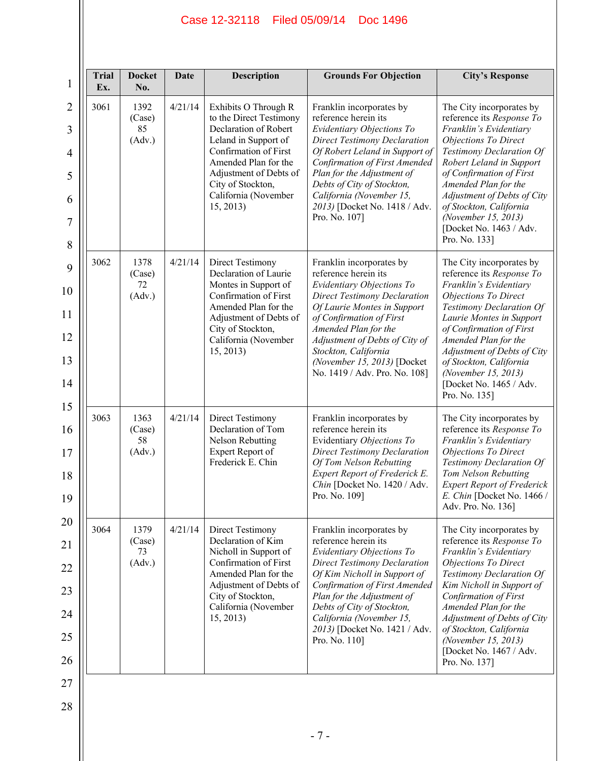| <b>Trial</b><br>Ex. | <b>Docket</b><br>No.           | <b>Date</b> | <b>Description</b>                                                                                                                                                                                                                    | <b>Grounds For Objection</b>                                                                                                                                                                                                                                                                                                      | <b>City's Response</b>                                                                                                                                                                                                                                                                                                                                  |
|---------------------|--------------------------------|-------------|---------------------------------------------------------------------------------------------------------------------------------------------------------------------------------------------------------------------------------------|-----------------------------------------------------------------------------------------------------------------------------------------------------------------------------------------------------------------------------------------------------------------------------------------------------------------------------------|---------------------------------------------------------------------------------------------------------------------------------------------------------------------------------------------------------------------------------------------------------------------------------------------------------------------------------------------------------|
| 3061                | 1392<br>(Case)<br>85<br>(Adv.) | 4/21/14     | Exhibits O Through R<br>to the Direct Testimony<br>Declaration of Robert<br>Leland in Support of<br>Confirmation of First<br>Amended Plan for the<br>Adjustment of Debts of<br>City of Stockton,<br>California (November<br>15, 2013) | Franklin incorporates by<br>reference herein its<br>Evidentiary Objections To<br><b>Direct Testimony Declaration</b><br>Of Robert Leland in Support of<br>Confirmation of First Amended<br>Plan for the Adjustment of<br>Debts of City of Stockton,<br>California (November 15,<br>2013) [Docket No. 1418 / Adv.<br>Pro. No. 107] | The City incorporates by<br>reference its Response To<br>Franklin's Evidentiary<br><b>Objections To Direct</b><br>Testimony Declaration Of<br>Robert Leland in Support<br>of Confirmation of First<br>Amended Plan for the<br>Adjustment of Debts of City<br>of Stockton, California<br>(November 15, 2013)<br>[Docket No. 1463 / Adv.<br>Pro. No. 133] |
| 3062                | 1378<br>(Case)<br>72<br>(Adv.) | 4/21/14     | <b>Direct Testimony</b><br>Declaration of Laurie<br>Montes in Support of<br>Confirmation of First<br>Amended Plan for the<br>Adjustment of Debts of<br>City of Stockton,<br>California (November<br>15, 2013)                         | Franklin incorporates by<br>reference herein its<br>Evidentiary Objections To<br><b>Direct Testimony Declaration</b><br>Of Laurie Montes in Support<br>of Confirmation of First<br>Amended Plan for the<br>Adjustment of Debts of City of<br>Stockton, California<br>(November 15, 2013) [Docket<br>No. 1419 / Adv. Pro. No. 108] | The City incorporates by<br>reference its Response To<br>Franklin's Evidentiary<br>Objections To Direct<br>Testimony Declaration Of<br>Laurie Montes in Support<br>of Confirmation of First<br>Amended Plan for the<br>Adjustment of Debts of City<br>of Stockton, California<br>(November 15, 2013)<br>[Docket No. 1465 / Adv.<br>Pro. No. 135]        |
| 3063                | 1363<br>(Case)<br>58<br>(Adv.) | 4/21/14     | <b>Direct Testimony</b><br>Declaration of Tom<br><b>Nelson Rebutting</b><br>Expert Report of<br>Frederick E. Chin                                                                                                                     | Franklin incorporates by<br>reference herein its<br>Evidentiary Objections To<br><b>Direct Testimony Declaration</b><br>Of Tom Nelson Rebutting<br>Expert Report of Frederick E.<br>Chin [Docket No. 1420 / Adv.<br>Pro. No. 109]                                                                                                 | The City incorporates by<br>reference its Response To<br>Franklin's Evidentiary<br>Objections To Direct<br>Testimony Declaration Of<br>Tom Nelson Rebutting<br><b>Expert Report of Frederick</b><br>E. Chin [Docket No. 1466 /<br>Adv. Pro. No. 136]                                                                                                    |
| 3064                | 1379<br>(Case)<br>73<br>(Adv.) | 4/21/14     | <b>Direct Testimony</b><br>Declaration of Kim<br>Nicholl in Support of<br>Confirmation of First<br>Amended Plan for the<br>Adjustment of Debts of<br>City of Stockton,<br>California (November<br>15, 2013)                           | Franklin incorporates by<br>reference herein its<br>Evidentiary Objections To<br><b>Direct Testimony Declaration</b><br>Of Kim Nicholl in Support of<br>Confirmation of First Amended<br>Plan for the Adjustment of<br>Debts of City of Stockton,<br>California (November 15,<br>2013) [Docket No. 1421 / Adv.<br>Pro. No. 110]   | The City incorporates by<br>reference its Response To<br>Franklin's Evidentiary<br><b>Objections To Direct</b><br>Testimony Declaration Of<br>Kim Nicholl in Support of<br>Confirmation of First<br>Amended Plan for the<br>Adjustment of Debts of City<br>of Stockton, California<br>(November 15, 2013)<br>[Docket No. 1467 / Adv.<br>Pro. No. 137]   |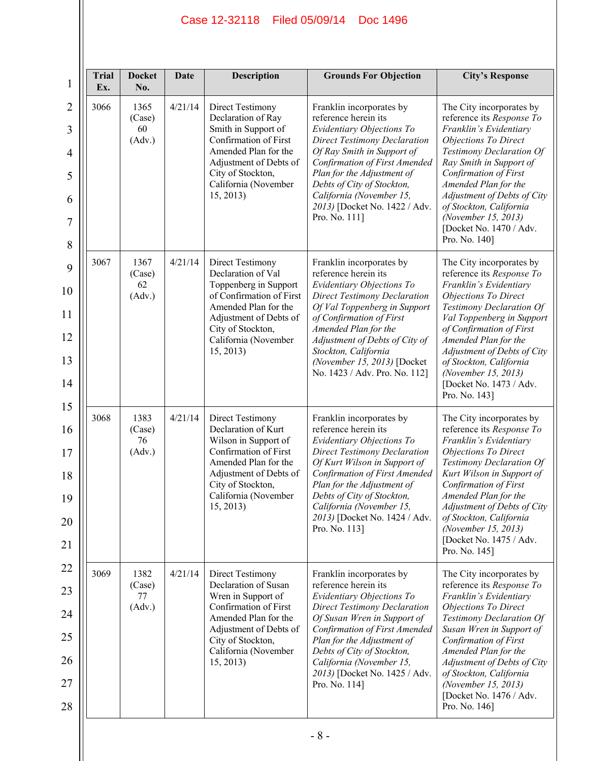| <b>Trial</b><br>Ex. | <b>Docket</b><br>No.           | Date    | <b>Description</b>                                                                                                                                                                                         | <b>Grounds For Objection</b>                                                                                                                                                                                                                                                                                                       | <b>City's Response</b>                                                                                                                                                                                                                                                                                                                                |
|---------------------|--------------------------------|---------|------------------------------------------------------------------------------------------------------------------------------------------------------------------------------------------------------------|------------------------------------------------------------------------------------------------------------------------------------------------------------------------------------------------------------------------------------------------------------------------------------------------------------------------------------|-------------------------------------------------------------------------------------------------------------------------------------------------------------------------------------------------------------------------------------------------------------------------------------------------------------------------------------------------------|
| 3066                | 1365<br>(Case)<br>60<br>(Adv.) | 4/21/14 | Direct Testimony<br>Declaration of Ray<br>Smith in Support of<br>Confirmation of First<br>Amended Plan for the<br>Adjustment of Debts of<br>City of Stockton,<br>California (November<br>15, 2013)         | Franklin incorporates by<br>reference herein its<br>Evidentiary Objections To<br><b>Direct Testimony Declaration</b><br>Of Ray Smith in Support of<br>Confirmation of First Amended<br>Plan for the Adjustment of<br>Debts of City of Stockton,<br>California (November 15,<br>2013) [Docket No. 1422 / Adv.<br>Pro. No. 111]      | The City incorporates by<br>reference its Response To<br>Franklin's Evidentiary<br><b>Objections To Direct</b><br>Testimony Declaration Of<br>Ray Smith in Support of<br>Confirmation of First<br>Amended Plan for the<br>Adjustment of Debts of City<br>of Stockton, California<br>(November 15, 2013)<br>[Docket No. 1470 / Adv.<br>Pro. No. 140]   |
| 3067                | 1367<br>(Case)<br>62<br>(Adv.) | 4/21/14 | Direct Testimony<br>Declaration of Val<br>Toppenberg in Support<br>of Confirmation of First<br>Amended Plan for the<br>Adjustment of Debts of<br>City of Stockton,<br>California (November<br>15, 2013)    | Franklin incorporates by<br>reference herein its<br>Evidentiary Objections To<br><b>Direct Testimony Declaration</b><br>Of Val Toppenberg in Support<br>of Confirmation of First<br>Amended Plan for the<br>Adjustment of Debts of City of<br>Stockton, California<br>(November 15, 2013) [Docket<br>No. 1423 / Adv. Pro. No. 112] | The City incorporates by<br>reference its Response To<br>Franklin's Evidentiary<br>Objections To Direct<br>Testimony Declaration Of<br>Val Toppenberg in Support<br>of Confirmation of First<br>Amended Plan for the<br>Adjustment of Debts of City<br>of Stockton, California<br>(November 15, 2013)<br>[Docket No. 1473 / Adv.<br>Pro. No. 143]     |
| 3068                | 1383<br>(Case)<br>76<br>(Adv.) | 4/21/14 | Direct Testimony<br>Declaration of Kurt<br>Wilson in Support of<br>Confirmation of First<br>Amended Plan for the<br>Adjustment of Debts of<br>City of Stockton,<br>California (November<br>15, 2013)       | Franklin incorporates by<br>reference herein its<br>Evidentiary Objections To<br><b>Direct Testimony Declaration</b><br>Of Kurt Wilson in Support of<br>Confirmation of First Amended<br>Plan for the Adjustment of<br>Debts of City of Stockton,<br>California (November 15,<br>2013) [Docket No. 1424 / Adv.<br>Pro. No. 113]    | The City incorporates by<br>reference its Response To<br>Franklin's Evidentiary<br><b>Objections To Direct</b><br>Testimony Declaration Of<br>Kurt Wilson in Support of<br>Confirmation of First<br>Amended Plan for the<br>Adjustment of Debts of City<br>of Stockton, California<br>(November 15, 2013)<br>[Docket No. 1475 / Adv.<br>Pro. No. 145] |
| 3069                | 1382<br>(Case)<br>77<br>(Adv.) | 4/21/14 | <b>Direct Testimony</b><br>Declaration of Susan<br>Wren in Support of<br>Confirmation of First<br>Amended Plan for the<br>Adjustment of Debts of<br>City of Stockton,<br>California (November<br>15, 2013) | Franklin incorporates by<br>reference herein its<br>Evidentiary Objections To<br><b>Direct Testimony Declaration</b><br>Of Susan Wren in Support of<br>Confirmation of First Amended<br>Plan for the Adjustment of<br>Debts of City of Stockton,<br>California (November 15,<br>2013) [Docket No. 1425 / Adv.<br>Pro. No. 114]     | The City incorporates by<br>reference its Response To<br>Franklin's Evidentiary<br><b>Objections To Direct</b><br>Testimony Declaration Of<br>Susan Wren in Support of<br>Confirmation of First<br>Amended Plan for the<br>Adjustment of Debts of City<br>of Stockton, California<br>(November 15, 2013)<br>[Docket No. 1476 / Adv.<br>Pro. No. 146]  |